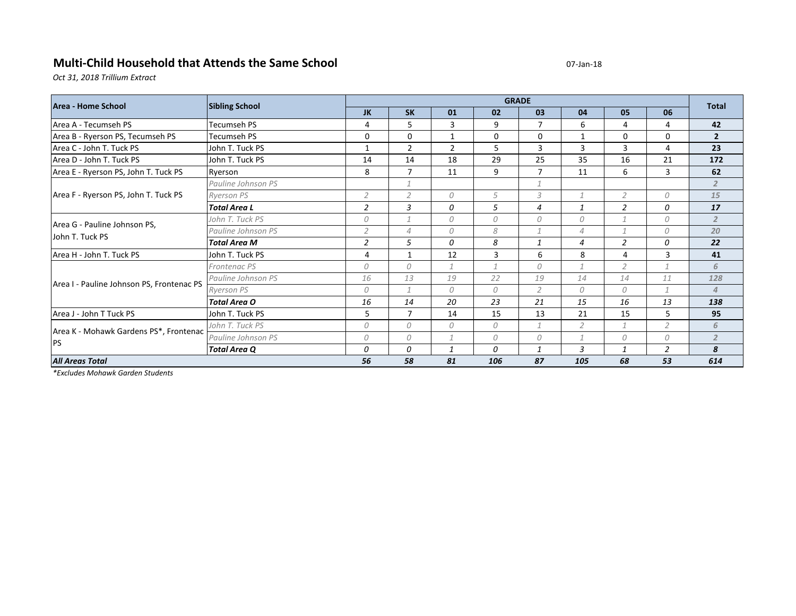## **Multi-Child Household that Attends the Same School Community and COMPUTER COMPUTER COMPUTER COMPUTER COMPUTER**

*Oct 31, 2018 Trillium Extract*

| Area - Home School                                  | <b>Sibling School</b> | <b>GRADE</b>   |                |                |               |                |                |                |                | <b>Total</b>   |
|-----------------------------------------------------|-----------------------|----------------|----------------|----------------|---------------|----------------|----------------|----------------|----------------|----------------|
|                                                     |                       | JK             | <b>SK</b>      | 01             | 02            | 03             | 04             | 05             | 06             |                |
| Area A - Tecumseh PS                                | Tecumseh PS           | 4              | 5              | 3              | 9             | 7              | 6              | 4              | 4              | 42             |
| Area B - Ryerson PS, Tecumseh PS                    | Tecumseh PS           | 0              | $\Omega$       | $\mathbf{1}$   | 0             | $\Omega$       | $\mathbf{1}$   | 0              | 0              | $\overline{2}$ |
| Area C - John T. Tuck PS                            | John T. Tuck PS       | $\mathbf{1}$   | $\overline{2}$ | $\overline{2}$ | 5             | 3              | 3              | 3              | 4              | 23             |
| Area D - John T. Tuck PS                            | John T. Tuck PS       | 14             | 14             | 18             | 29            | 25             | 35             | 16             | 21             | 172            |
| Area E - Ryerson PS, John T. Tuck PS                | Ryerson               | 8              | 7              | 11             | 9             | 7              | 11             | 6              | 3              | 62             |
| Area F - Ryerson PS, John T. Tuck PS                | Pauline Johnson PS    |                | $\mathcal{I}$  |                |               | 1              |                |                |                | $\overline{2}$ |
|                                                     | <b>Ryerson PS</b>     | $\overline{2}$ | 2              | 0              | 5             | 3              | $\mathcal I$   | $\overline{2}$ | 0              | 15             |
|                                                     | <b>Total Area L</b>   | 2              | 3              | 0              | 5             | 4              | 1              | $\overline{2}$ | 0              | 17             |
| Area G - Pauline Johnson PS,<br>John T. Tuck PS     | John T. Tuck PS       | 0              | $\overline{1}$ | 0              | 0             | $\theta$       | 0              |                | 0              | $\overline{2}$ |
|                                                     | Pauline Johnson PS    | $\overline{2}$ | $\overline{4}$ | 0              | 8             | $\mathcal{I}$  | $\overline{4}$ | 1              | 0              | 20             |
|                                                     | <b>Total Area M</b>   | 2              | 5              | 0              | 8             | $\mathbf{1}$   | $\overline{4}$ | $\overline{2}$ | 0              | 22             |
| Area H - John T. Tuck PS                            | John T. Tuck PS       | 4              | $\mathbf{1}$   | 12             | 3             | 6              | 8              | 4              | 3              | 41             |
| Area I - Pauline Johnson PS, Frontenac PS           | Frontenac PS          | 0              | $\theta$       | $\mathcal{I}$  | $\mathcal{I}$ | $\Omega$       | $\mathcal{I}$  | $\overline{2}$ | $\mathbf{1}$   | 6              |
|                                                     | Pauline Johnson PS    | 16             | 13             | 19             | 22            | 19             | 14             | 14             | 11             | 128            |
|                                                     | <b>Ryerson PS</b>     | 0              | $\mathcal I$   | 0              | 0             | $\overline{2}$ | 0              | 0              | $\mathcal{I}$  | $\overline{4}$ |
|                                                     | <b>Total Area O</b>   | 16             | 14             | 20             | 23            | 21             | 15             | 16             | 13             | 138            |
| Area J - John T Tuck PS                             | John T. Tuck PS       | 5              | $\overline{7}$ | 14             | 15            | 13             | 21             | 15             | 5              | 95             |
| Area K - Mohawk Gardens PS*, Frontenac<br><b>PS</b> | John T. Tuck PS       | 0              | $\theta$       | 0              | 0             | $\mathcal{I}$  | $\overline{2}$ |                | $\overline{2}$ | 6              |
|                                                     | Pauline Johnson PS    | 0              | 0              |                | 0             | 0              | $\mathcal I$   | 0              | 0              | $\overline{2}$ |
|                                                     | <b>Total Area Q</b>   | 0              | 0              | $\mathbf{1}$   | 0             | $\mathbf{1}$   | 3              |                | $\overline{2}$ | 8              |
| <b>All Areas Total</b>                              |                       | 56             | 58             | 81             | 106           | 87             | 105            | 68             | 53             | 614            |

*\*Excludes Mohawk Garden Students*